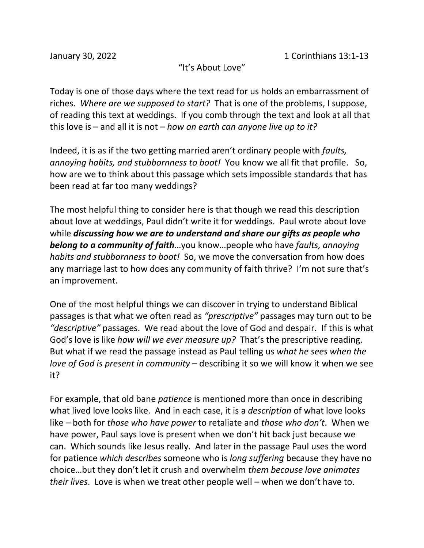"It's About Love"

Today is one of those days where the text read for us holds an embarrassment of riches. *Where are we supposed to start?* That is one of the problems, I suppose, of reading this text at weddings. If you comb through the text and look at all that this love is – and all it is not – *how on earth can anyone live up to it?*

Indeed, it is as if the two getting married aren't ordinary people with *faults, annoying habits, and stubbornness to boot!* You know we all fit that profile. So, how are we to think about this passage which sets impossible standards that has been read at far too many weddings?

The most helpful thing to consider here is that though we read this description about love at weddings, Paul didn't write it for weddings. Paul wrote about love while *discussing how we are to understand and share our gifts as people who belong to a community of faith*…you know…people who have *faults, annoying habits and stubbornness to boot!* So, we move the conversation from how does any marriage last to how does any community of faith thrive? I'm not sure that's an improvement.

One of the most helpful things we can discover in trying to understand Biblical passages is that what we often read as *"prescriptive"* passages may turn out to be *"descriptive"* passages. We read about the love of God and despair. If this is what God's love is like *how will we ever measure up?* That's the prescriptive reading. But what if we read the passage instead as Paul telling us *what he sees when the love of God is present in community* – describing it so we will know it when we see it?

For example, that old bane *patience* is mentioned more than once in describing what lived love looks like. And in each case, it is a *description* of what love looks like – both for *those who have power* to retaliate and *those who don't*. When we have power, Paul says love is present when we don't hit back just because we can. Which sounds like Jesus really. And later in the passage Paul uses the word for patience *which describes* someone who is *long suffering* because they have no choice…but they don't let it crush and overwhelm *them because love animates their lives*. Love is when we treat other people well – when we don't have to.